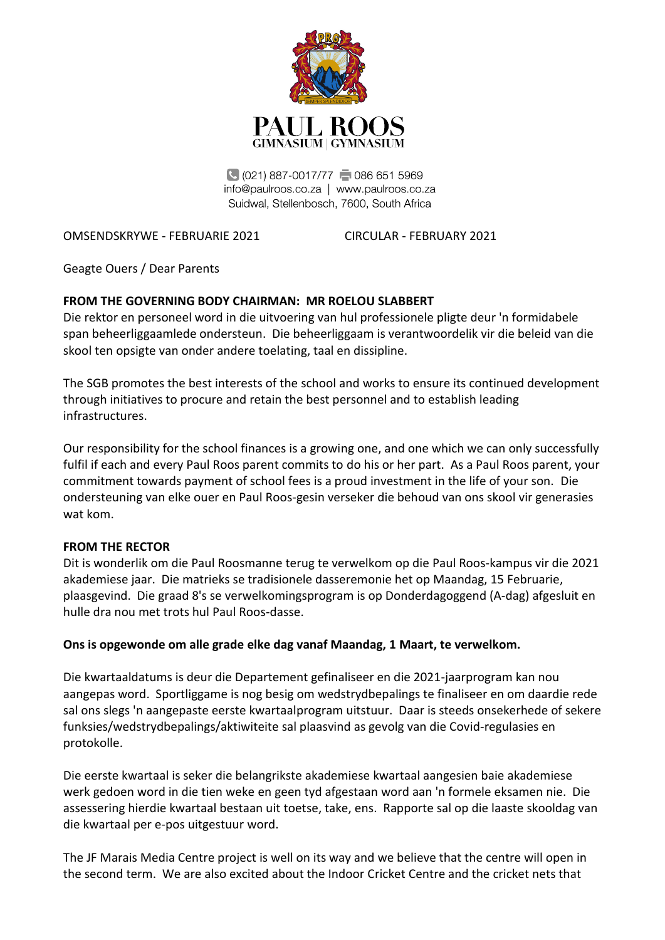

 $\bigcup$  (021) 887-0017/77  $\bigcup$  086 651 5969 info@paulroos.co.za | www.paulroos.co.za Suidwal, Stellenbosch, 7600, South Africa

OMSENDSKRYWE - FEBRUARIE 2021 CIRCULAR - FEBRUARY 2021

Geagte Ouers / Dear Parents

# **FROM THE GOVERNING BODY CHAIRMAN: MR ROELOU SLABBERT**

Die rektor en personeel word in die uitvoering van hul professionele pligte deur 'n formidabele span beheerliggaamlede ondersteun. Die beheerliggaam is verantwoordelik vir die beleid van die skool ten opsigte van onder andere toelating, taal en dissipline.

The SGB promotes the best interests of the school and works to ensure its continued development through initiatives to procure and retain the best personnel and to establish leading infrastructures.

Our responsibility for the school finances is a growing one, and one which we can only successfully fulfil if each and every Paul Roos parent commits to do his or her part. As a Paul Roos parent, your commitment towards payment of school fees is a proud investment in the life of your son. Die ondersteuning van elke ouer en Paul Roos-gesin verseker die behoud van ons skool vir generasies wat kom.

# **FROM THE RECTOR**

Dit is wonderlik om die Paul Roosmanne terug te verwelkom op die Paul Roos-kampus vir die 2021 akademiese jaar. Die matrieks se tradisionele dasseremonie het op Maandag, 15 Februarie, plaasgevind. Die graad 8's se verwelkomingsprogram is op Donderdagoggend (A-dag) afgesluit en hulle dra nou met trots hul Paul Roos-dasse.

# **Ons is opgewonde om alle grade elke dag vanaf Maandag, 1 Maart, te verwelkom.**

Die kwartaaldatums is deur die Departement gefinaliseer en die 2021-jaarprogram kan nou aangepas word. Sportliggame is nog besig om wedstrydbepalings te finaliseer en om daardie rede sal ons slegs 'n aangepaste eerste kwartaalprogram uitstuur. Daar is steeds onsekerhede of sekere funksies/wedstrydbepalings/aktiwiteite sal plaasvind as gevolg van die Covid-regulasies en protokolle.

Die eerste kwartaal is seker die belangrikste akademiese kwartaal aangesien baie akademiese werk gedoen word in die tien weke en geen tyd afgestaan word aan 'n formele eksamen nie. Die assessering hierdie kwartaal bestaan uit toetse, take, ens. Rapporte sal op die laaste skooldag van die kwartaal per e-pos uitgestuur word.

The JF Marais Media Centre project is well on its way and we believe that the centre will open in the second term. We are also excited about the Indoor Cricket Centre and the cricket nets that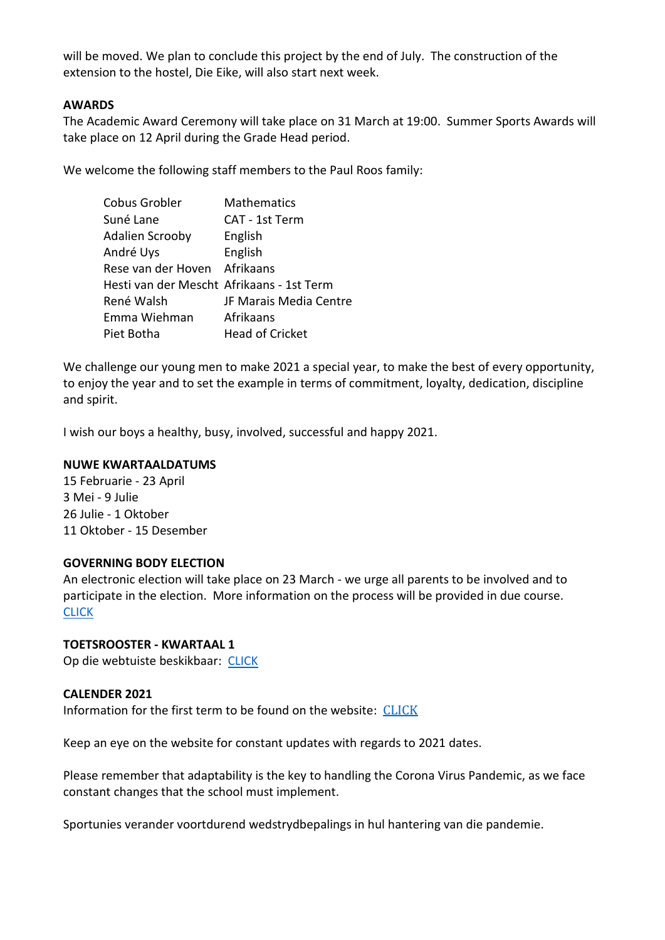will be moved. We plan to conclude this project by the end of July. The construction of the extension to the hostel, Die Eike, will also start next week.

# **AWARDS**

The Academic Award Ceremony will take place on 31 March at 19:00. Summer Sports Awards will take place on 12 April during the Grade Head period.

We welcome the following staff members to the Paul Roos family:

| Cobus Grobler                             | <b>Mathematics</b>     |
|-------------------------------------------|------------------------|
| Suné Lane                                 | CAT - 1st Term         |
| Adalien Scrooby                           | English                |
| André Uys                                 | English                |
| Rese van der Hoven Afrikaans              |                        |
| Hesti van der Mescht Afrikaans - 1st Term |                        |
| René Walsh                                | JF Marais Media Centre |
| Emma Wiehman                              | Afrikaans              |
| Piet Botha                                | <b>Head of Cricket</b> |

We challenge our young men to make 2021 a special year, to make the best of every opportunity, to enjoy the year and to set the example in terms of commitment, loyalty, dedication, discipline and spirit.

I wish our boys a healthy, busy, involved, successful and happy 2021.

# **NUWE KWARTAALDATUMS**

15 Februarie - 23 April 3 Mei - 9 Julie 26 Julie - 1 Oktober 11 Oktober - 15 Desember

# **GOVERNING BODY ELECTION**

An electronic election will take place on 23 March - we urge all parents to be involved and to participate in the election. More information on the process will be provided in due course. **[CLICK](https://paulroos.co.za/kennisgewing-bhl-verkiesing-notice-sgb-election/)** 

**TOETSROOSTER - KWARTAAL 1** Op die webtuiste beskikbaar: [CLICK](https://paulroos.co.za/toetsrooster-kwartaal-1-2021-test-timetable-term-1-2021/)

# **CALENDER 2021**

Information for the first term to be found on the website: [CLICK](https://paulroos.co.za/kwartaalprogram-kwartaal-1-term-programme-for-term-1/)

Keep an eye on the website for constant updates with regards to 2021 dates.

Please remember that adaptability is the key to handling the Corona Virus Pandemic, as we face constant changes that the school must implement.

Sportunies verander voortdurend wedstrydbepalings in hul hantering van die pandemie.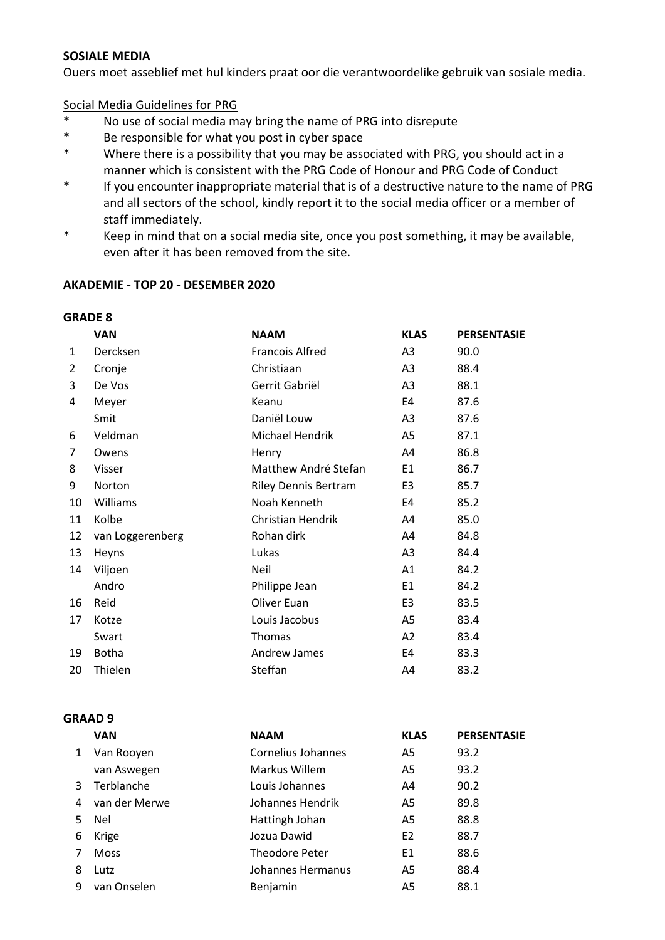#### **SOSIALE MEDIA**

Ouers moet asseblief met hul kinders praat oor die verantwoordelike gebruik van sosiale media.

# Social Media Guidelines for PRG

- \* No use of social media may bring the name of PRG into disrepute
- \* Be responsible for what you post in cyber space
- \* Where there is a possibility that you may be associated with PRG, you should act in a manner which is consistent with the PRG Code of Honour and PRG Code of Conduct
- \* If you encounter inappropriate material that is of a destructive nature to the name of PRG and all sectors of the school, kindly report it to the social media officer or a member of staff immediately.
- \* Keep in mind that on a social media site, once you post something, it may be available, even after it has been removed from the site.

# **AKADEMIE - TOP 20 - DESEMBER 2020**

#### **GRADE 8**

**GRAAD 9**

| <b>VAN</b>       | <b>NAAM</b>                 | <b>KLAS</b>    | <b>PERSENTASIE</b> |
|------------------|-----------------------------|----------------|--------------------|
| Dercksen         | <b>Francois Alfred</b>      | A3             | 90.0               |
| Cronje           | Christiaan                  | A3             | 88.4               |
| De Vos           | Gerrit Gabriël              | A3             | 88.1               |
| Meyer            | Keanu                       | E4             | 87.6               |
| Smit             | Daniël Louw                 | A <sub>3</sub> | 87.6               |
| Veldman          | Michael Hendrik             | A5             | 87.1               |
| Owens            | Henry                       | A4             | 86.8               |
| Visser           | Matthew André Stefan        | E1             | 86.7               |
| Norton           | <b>Riley Dennis Bertram</b> | E3             | 85.7               |
| Williams         | Noah Kenneth                | E4             | 85.2               |
| Kolbe            | Christian Hendrik           | A4             | 85.0               |
| van Loggerenberg | Rohan dirk                  | A4             | 84.8               |
| Heyns            | Lukas                       | A3             | 84.4               |
| Viljoen          | Neil                        | A1             | 84.2               |
| Andro            | Philippe Jean               | E1             | 84.2               |
| Reid             | Oliver Euan                 | E <sub>3</sub> | 83.5               |
| Kotze            | Louis Jacobus               | A5             | 83.4               |
| Swart            | Thomas                      | A2             | 83.4               |
| <b>Botha</b>     | Andrew James                | E4             | 83.3               |
| Thielen          | Steffan                     | A4             | 83.2               |
|                  |                             |                |                    |

| 91\CVD J |               |                    |                |                    |
|----------|---------------|--------------------|----------------|--------------------|
|          | <b>VAN</b>    | <b>NAAM</b>        | <b>KLAS</b>    | <b>PERSENTASIE</b> |
| 1        | Van Rooyen    | Cornelius Johannes | A5             | 93.2               |
|          | van Aswegen   | Markus Willem      | A <sub>5</sub> | 93.2               |
| 3        | Terblanche    | Louis Johannes     | A4             | 90.2               |
| 4        | van der Merwe | Johannes Hendrik   | A5             | 89.8               |
| 5        | Nel           | Hattingh Johan     | A5             | 88.8               |
| 6        | Krige         | Jozua Dawid        | E <sub>2</sub> | 88.7               |
| 7        | <b>Moss</b>   | Theodore Peter     | E1             | 88.6               |
| 8        | Lutz          | Johannes Hermanus  | A5             | 88.4               |
| 9        | van Onselen   | Benjamin           | A5             | 88.1               |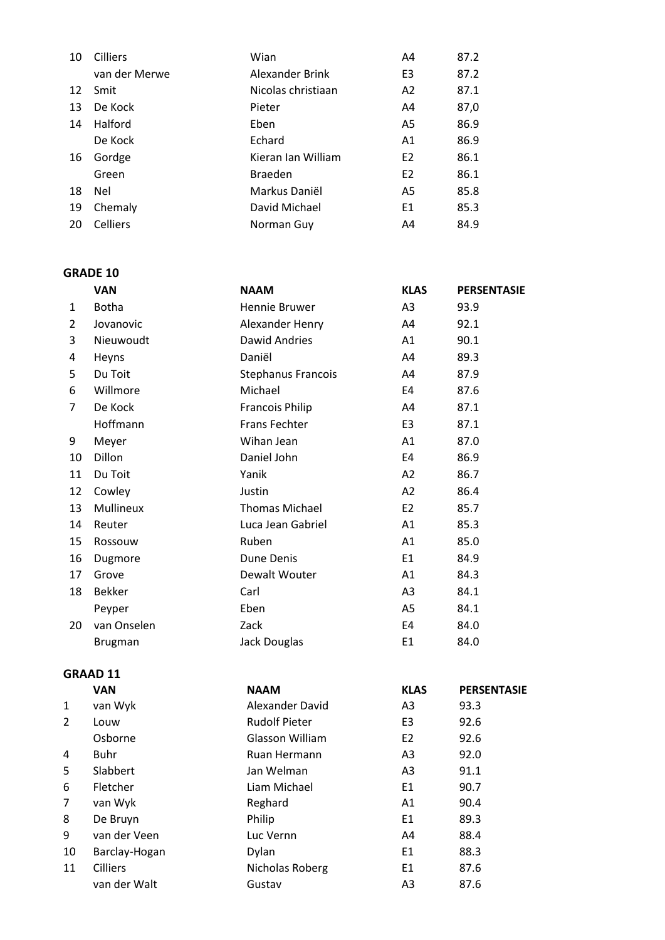| <b>Cilliers</b> | Wian               | A4             | 87.2 |
|-----------------|--------------------|----------------|------|
| van der Merwe   | Alexander Brink    | E <sub>3</sub> | 87.2 |
| Smit            | Nicolas christiaan | A <sub>2</sub> | 87.1 |
| De Kock         | Pieter             | A4             | 87,0 |
| Halford         | Eben               | A5             | 86.9 |
| De Kock         | Echard             | A1             | 86.9 |
| Gordge          | Kieran Jan William | E <sub>2</sub> | 86.1 |
| Green           | Braeden            | E <sub>2</sub> | 86.1 |
| Nel             | Markus Daniël      | A5             | 85.8 |
| Chemaly         | David Michael      | E1             | 85.3 |
| Celliers        | Norman Guy         | A4             | 84.9 |
|                 |                    |                |      |

# **GRADE 10**

|                | <b>VAN</b>     | <b>NAAM</b>               | <b>KLAS</b>    | <b>PERSENTASIE</b> |
|----------------|----------------|---------------------------|----------------|--------------------|
| $\mathbf{1}$   | <b>Botha</b>   | Hennie Bruwer             | A3             | 93.9               |
| $\overline{2}$ | Jovanovic      | Alexander Henry           | A4             | 92.1               |
| 3              | Nieuwoudt      | Dawid Andries             | A1             | 90.1               |
| 4              | Heyns          | Daniël                    | A4             | 89.3               |
| 5              | Du Toit        | <b>Stephanus Francois</b> | A4             | 87.9               |
| 6              | Willmore       | Michael                   | E <sub>4</sub> | 87.6               |
| $\overline{7}$ | De Kock        | <b>Francois Philip</b>    | A4             | 87.1               |
|                | Hoffmann       | <b>Frans Fechter</b>      | E <sub>3</sub> | 87.1               |
| 9              | Meyer          | Wihan Jean                | A1             | 87.0               |
| 10             | Dillon         | Daniel John               | E4             | 86.9               |
| 11             | Du Toit        | Yanik                     | A2             | 86.7               |
| 12             | Cowley         | Justin                    | A2             | 86.4               |
| 13             | Mullineux      | <b>Thomas Michael</b>     | E <sub>2</sub> | 85.7               |
| 14             | Reuter         | Luca Jean Gabriel         | A1             | 85.3               |
| 15             | Rossouw        | Ruben                     | A1             | 85.0               |
| 16             | Dugmore        | Dune Denis                | E1             | 84.9               |
| 17             | Grove          | Dewalt Wouter             | A1             | 84.3               |
| 18             | <b>Bekker</b>  | Carl                      | A <sub>3</sub> | 84.1               |
|                | Peyper         | Eben                      | A5             | 84.1               |
| 20             | van Onselen    | Zack                      | E4             | 84.0               |
|                | <b>Brugman</b> | Jack Douglas              | E <sub>1</sub> | 84.0               |
|                |                |                           |                |                    |

# **GRAAD 11**

|               | <b>VAN</b>      | <b>NAAM</b>          | <b>KLAS</b>    | <b>PERSENTASIE</b> |
|---------------|-----------------|----------------------|----------------|--------------------|
| 1             | van Wyk         | Alexander David      | A <sub>3</sub> | 93.3               |
| $\mathcal{P}$ | Louw            | <b>Rudolf Pieter</b> | E <sub>3</sub> | 92.6               |
|               | Osborne         | Glasson William      | E <sub>2</sub> | 92.6               |
| 4             | Buhr            | Ruan Hermann         | A <sub>3</sub> | 92.0               |
| 5             | Slabbert        | Jan Welman           | A3             | 91.1               |
| 6             | Fletcher        | Liam Michael         | E1             | 90.7               |
| 7             | van Wyk         | Reghard              | A1             | 90.4               |
| 8             | De Bruyn        | Philip               | E1             | 89.3               |
| 9             | van der Veen    | Luc Vernn            | A4             | 88.4               |
| 10            | Barclay-Hogan   | Dylan                | E1             | 88.3               |
| 11            | <b>Cilliers</b> | Nicholas Roberg      | E1             | 87.6               |
|               | van der Walt    | Gustav               | A3             | 87.6               |
|               |                 |                      |                |                    |